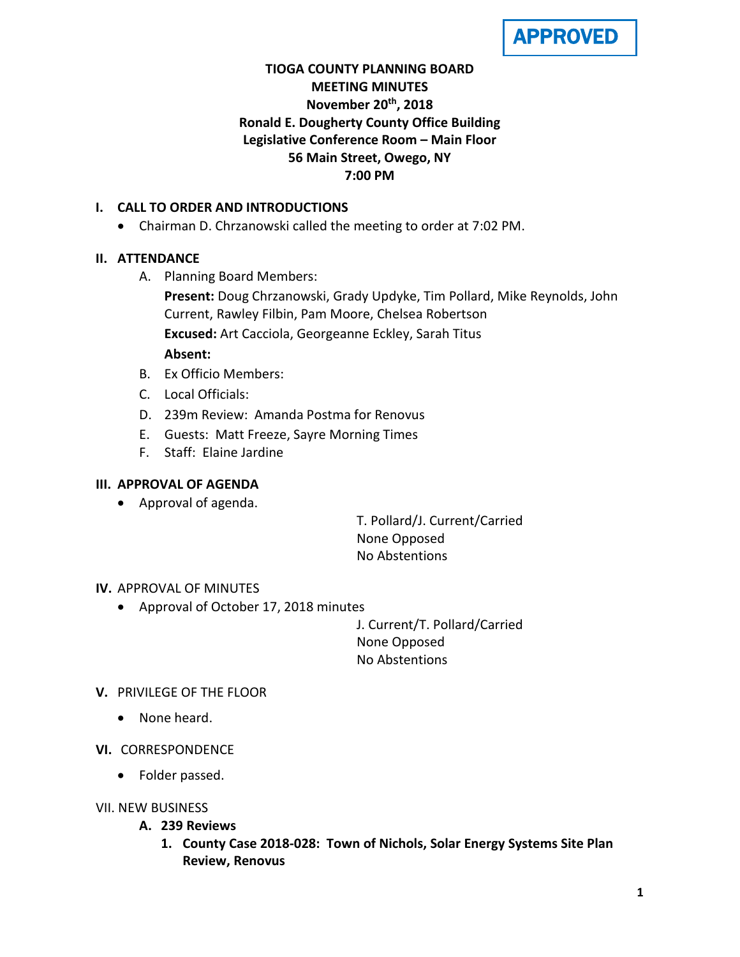

# **TIOGA COUNTY PLANNING BOARD MEETING MINUTES November 20th, 2018 Ronald E. Dougherty County Office Building Legislative Conference Room – Main Floor 56 Main Street, Owego, NY 7:00 PM**

## **I. CALL TO ORDER AND INTRODUCTIONS**

• Chairman D. Chrzanowski called the meeting to order at 7:02 PM.

## **II. ATTENDANCE**

A. Planning Board Members:

**Present:** Doug Chrzanowski, Grady Updyke, Tim Pollard, Mike Reynolds, John Current, Rawley Filbin, Pam Moore, Chelsea Robertson **Excused:** Art Cacciola, Georgeanne Eckley, Sarah Titus **Absent:**

- B. Ex Officio Members:
- C. Local Officials:
- D. 239m Review: Amanda Postma for Renovus
- E. Guests: Matt Freeze, Sayre Morning Times
- F. Staff: Elaine Jardine

## **III. APPROVAL OF AGENDA**

• Approval of agenda.

T. Pollard/J. Current/Carried None Opposed No Abstentions

### **IV.** APPROVAL OF MINUTES

• Approval of October 17, 2018 minutes

J. Current/T. Pollard/Carried None Opposed No Abstentions

### **V.** PRIVILEGE OF THE FLOOR

- None heard.
- **VI.** CORRESPONDENCE
	- Folder passed.
- VII. NEW BUSINESS
	- **A. 239 Reviews**
		- **1. County Case 2018-028: Town of Nichols, Solar Energy Systems Site Plan Review, Renovus**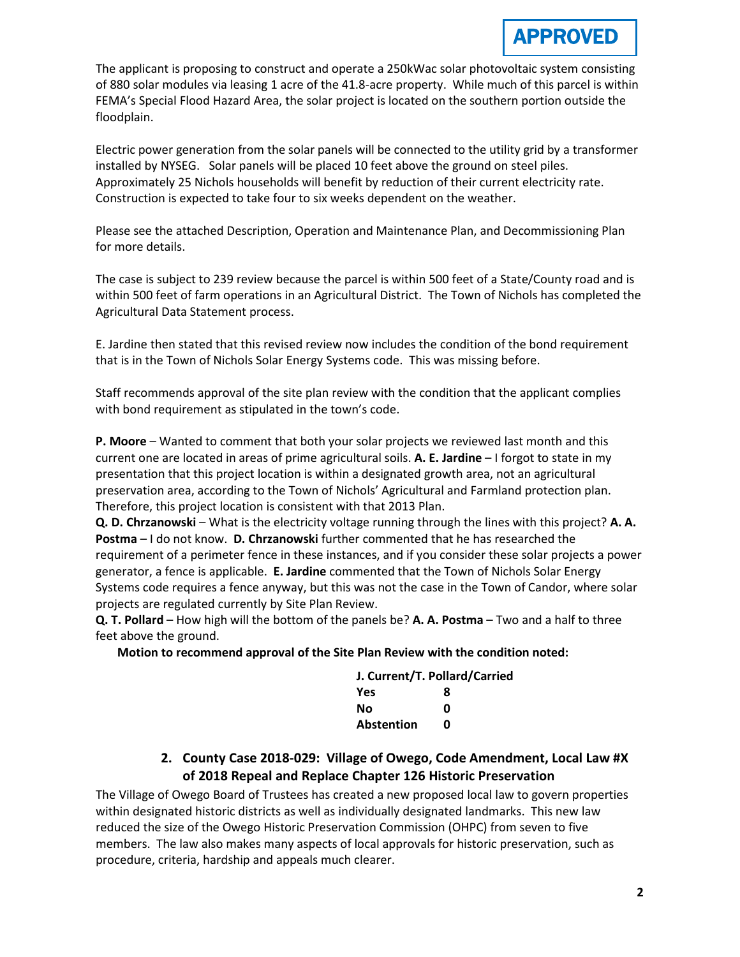# APPROVED

The applicant is proposing to construct and operate a 250kWac solar photovoltaic system consisting of 880 solar modules via leasing 1 acre of the 41.8-acre property. While much of this parcel is within FEMA's Special Flood Hazard Area, the solar project is located on the southern portion outside the floodplain.

Electric power generation from the solar panels will be connected to the utility grid by a transformer installed by NYSEG. Solar panels will be placed 10 feet above the ground on steel piles. Approximately 25 Nichols households will benefit by reduction of their current electricity rate. Construction is expected to take four to six weeks dependent on the weather.

Please see the attached Description, Operation and Maintenance Plan, and Decommissioning Plan for more details.

The case is subject to 239 review because the parcel is within 500 feet of a State/County road and is within 500 feet of farm operations in an Agricultural District. The Town of Nichols has completed the Agricultural Data Statement process.

E. Jardine then stated that this revised review now includes the condition of the bond requirement that is in the Town of Nichols Solar Energy Systems code. This was missing before.

Staff recommends approval of the site plan review with the condition that the applicant complies with bond requirement as stipulated in the town's code.

**P. Moore** – Wanted to comment that both your solar projects we reviewed last month and this current one are located in areas of prime agricultural soils. **A. E. Jardine** – I forgot to state in my presentation that this project location is within a designated growth area, not an agricultural preservation area, according to the Town of Nichols' Agricultural and Farmland protection plan. Therefore, this project location is consistent with that 2013 Plan.

**Q. D. Chrzanowski** – What is the electricity voltage running through the lines with this project? **A. A. Postma** – I do not know. **D. Chrzanowski** further commented that he has researched the requirement of a perimeter fence in these instances, and if you consider these solar projects a power generator, a fence is applicable. **E. Jardine** commented that the Town of Nichols Solar Energy Systems code requires a fence anyway, but this was not the case in the Town of Candor, where solar projects are regulated currently by Site Plan Review.

**Q. T. Pollard** – How high will the bottom of the panels be? **A. A. Postma** – Two and a half to three feet above the ground.

**Motion to recommend approval of the Site Plan Review with the condition noted:**

| J. Current/T. Pollard/Carried |   |
|-------------------------------|---|
| <b>Yes</b>                    | 8 |
| No                            | n |
| Abstention                    | n |

**2. County Case 2018-029: Village of Owego, Code Amendment, Local Law #X of 2018 Repeal and Replace Chapter 126 Historic Preservation**

The Village of Owego Board of Trustees has created a new proposed local law to govern properties within designated historic districts as well as individually designated landmarks. This new law reduced the size of the Owego Historic Preservation Commission (OHPC) from seven to five members. The law also makes many aspects of local approvals for historic preservation, such as procedure, criteria, hardship and appeals much clearer.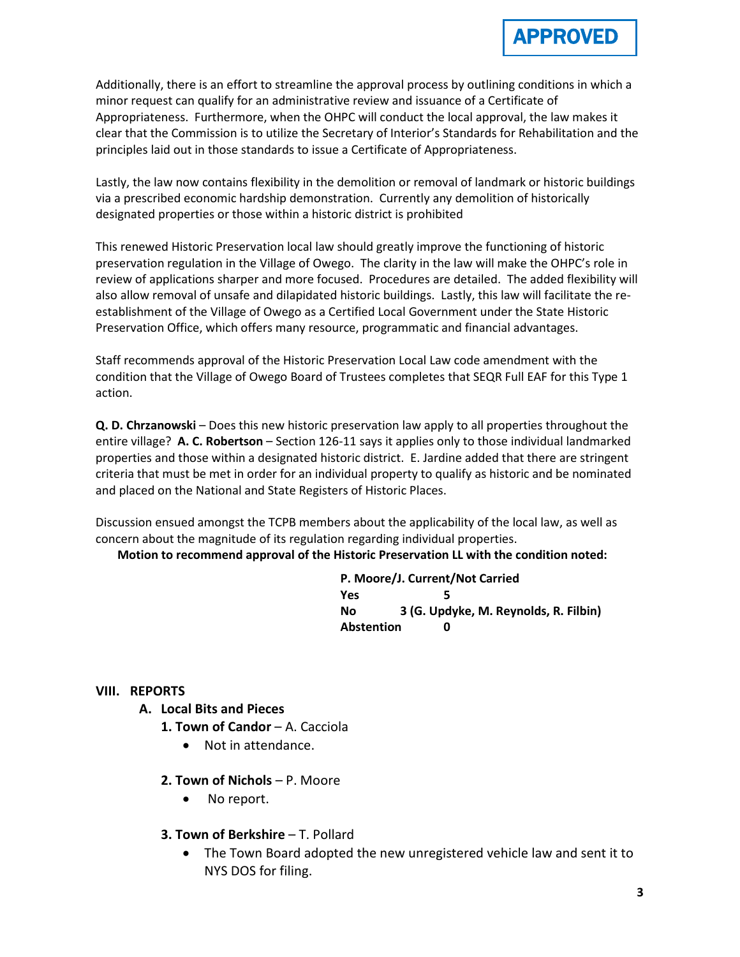

Additionally, there is an effort to streamline the approval process by outlining conditions in which a minor request can qualify for an administrative review and issuance of a Certificate of Appropriateness. Furthermore, when the OHPC will conduct the local approval, the law makes it clear that the Commission is to utilize the Secretary of Interior's Standards for Rehabilitation and the principles laid out in those standards to issue a Certificate of Appropriateness.

Lastly, the law now contains flexibility in the demolition or removal of landmark or historic buildings via a prescribed economic hardship demonstration. Currently any demolition of historically designated properties or those within a historic district is prohibited

This renewed Historic Preservation local law should greatly improve the functioning of historic preservation regulation in the Village of Owego. The clarity in the law will make the OHPC's role in review of applications sharper and more focused. Procedures are detailed. The added flexibility will also allow removal of unsafe and dilapidated historic buildings. Lastly, this law will facilitate the reestablishment of the Village of Owego as a Certified Local Government under the State Historic Preservation Office, which offers many resource, programmatic and financial advantages.

Staff recommends approval of the Historic Preservation Local Law code amendment with the condition that the Village of Owego Board of Trustees completes that SEQR Full EAF for this Type 1 action.

**Q. D. Chrzanowski** – Does this new historic preservation law apply to all properties throughout the entire village? **A. C. Robertson** – Section 126-11 says it applies only to those individual landmarked properties and those within a designated historic district. E. Jardine added that there are stringent criteria that must be met in order for an individual property to qualify as historic and be nominated and placed on the National and State Registers of Historic Places.

Discussion ensued amongst the TCPB members about the applicability of the local law, as well as concern about the magnitude of its regulation regarding individual properties.

### **Motion to recommend approval of the Historic Preservation LL with the condition noted:**

**P. Moore/J. Current/Not Carried Yes 5 No 3 (G. Updyke, M. Reynolds, R. Filbin) Abstention 0**

### **VIII. REPORTS**

- **A. Local Bits and Pieces**
	- **1. Town of Candor**  A. Cacciola
		- Not in attendance.
	- **2. Town of Nichols**  P. Moore
		- No report.
	- **3. Town of Berkshire**  T. Pollard
		- The Town Board adopted the new unregistered vehicle law and sent it to NYS DOS for filing.